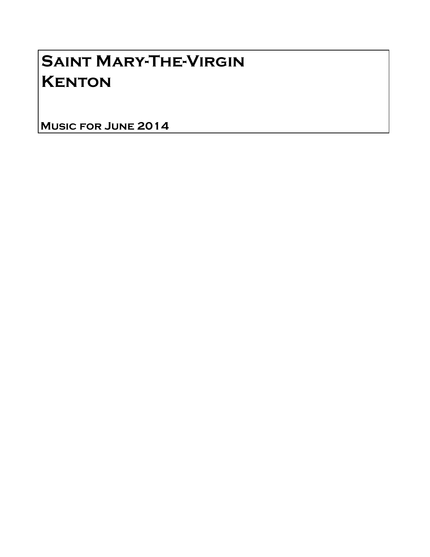# Saint Mary-The-Virgin **KENTON**

Music for June 2014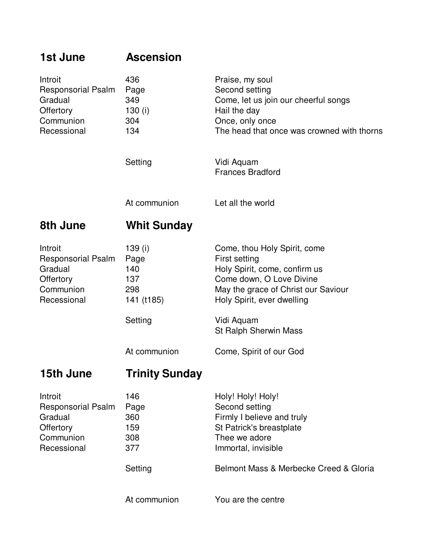| 1st June                                                                                        | <b>Ascension</b>                                                   |                                                                                                                                                                                                       |
|-------------------------------------------------------------------------------------------------|--------------------------------------------------------------------|-------------------------------------------------------------------------------------------------------------------------------------------------------------------------------------------------------|
| Introit<br><b>Responsorial Psalm</b><br>Gradual<br><b>Offertory</b><br>Communion<br>Recessional | 436<br>Page<br>349<br>130 $(i)$<br>304<br>134                      | Praise, my soul<br>Second setting<br>Come, let us join our cheerful songs<br>Hail the day<br>Once, only once<br>The head that once was crowned with thorns                                            |
|                                                                                                 | Setting                                                            | Vidi Aquam<br><b>Frances Bradford</b>                                                                                                                                                                 |
|                                                                                                 | At communion                                                       | Let all the world                                                                                                                                                                                     |
| 8th June                                                                                        | <b>Whit Sunday</b>                                                 |                                                                                                                                                                                                       |
| Introit<br><b>Responsorial Psalm</b><br>Gradual<br>Offertory<br>Communion<br>Recessional        | 139 (i)<br>Page<br>140<br>137<br>298<br>141 (t185)                 | Come, thou Holy Spirit, come<br>First setting<br>Holy Spirit, come, confirm us<br>Come down, O Love Divine<br>May the grace of Christ our Saviour<br>Holy Spirit, ever dwelling                       |
|                                                                                                 | Setting                                                            | Vidi Aquam<br>St Ralph Sherwin Mass                                                                                                                                                                   |
|                                                                                                 | At communion                                                       | Come, Spirit of our God                                                                                                                                                                               |
| 15th June                                                                                       | <b>Trinity Sunday</b>                                              |                                                                                                                                                                                                       |
| Introit<br><b>Responsorial Psalm</b><br>Gradual<br>Offertory<br>Communion<br>Recessional        | 146<br>Page<br>360<br>159<br>308<br>377<br>Setting<br>At communion | Holy! Holy! Holy!<br>Second setting<br>Firmly I believe and truly<br>St Patrick's breastplate<br>Thee we adore<br>Immortal, invisible<br>Belmont Mass & Merbecke Creed & Gloria<br>You are the centre |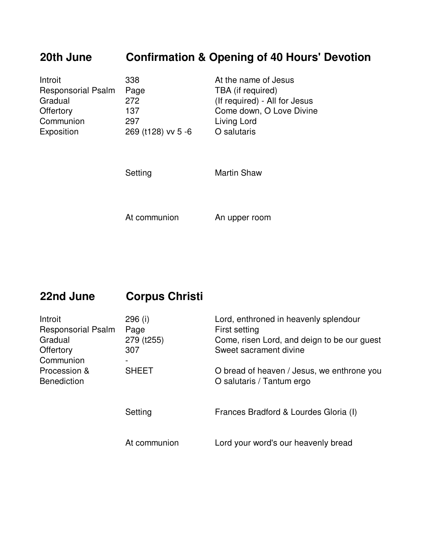# **20th June Confirmation & Opening of 40 Hours' Devotion**

| Introit                   | 338                | At the name of Jesus          |
|---------------------------|--------------------|-------------------------------|
| <b>Responsorial Psalm</b> | Page               | TBA (if required)             |
| Gradual                   | 272                | (If required) - All for Jesus |
| Offertory                 | 137                | Come down, O Love Divine      |
| Communion                 | 297                | Living Lord                   |
| Exposition                | 269 (t128) vv 5 -6 | O salutaris                   |

Setting Martin Shaw

At communion An upper room

## **22nd June Corpus Christi**

| 296 (i)      | Lord, enthroned in heavenly splendour       |
|--------------|---------------------------------------------|
| Page         | First setting                               |
| 279 (t255)   | Come, risen Lord, and deign to be our guest |
| 307          | Sweet sacrament divine                      |
|              |                                             |
| <b>SHEET</b> | O bread of heaven / Jesus, we enthrone you  |
|              | O salutaris / Tantum ergo                   |
|              |                                             |
|              | Frances Bradford & Lourdes Gloria (I)       |
|              |                                             |
|              |                                             |
| At communion | Lord your word's our heavenly bread         |
|              | Setting                                     |